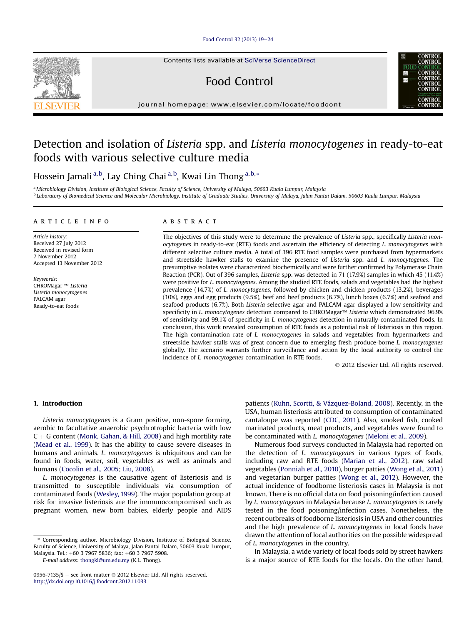## [Food Control 32 \(2013\) 19](http://dx.doi.org/10.1016/j.foodcont.2012.11.033)-[24](http://dx.doi.org/10.1016/j.foodcont.2012.11.033)

Contents lists available at [SciVerse ScienceDirect](www.sciencedirect.com/science/journal/09567135)

# Food Control

journal homepage: [www.elsevier.com/locate/foodcont](http://www.elsevier.com/locate/foodcont)

## Detection and isolation of Listeria spp. and Listeria monocytogenes in ready-to-eat foods with various selective culture media

Hossein Jamali <sup>a,b</sup>, Lay Ching Chai <sup>a,b</sup>, Kwai Lin Thong <sup>a,b,</sup>\*

a Microbiology Division, Institute of Biological Science, Faculty of Science, University of Malaya, 50603 Kuala Lumpur, Malaysia <sup>b</sup> Laboratory of Biomedical Science and Molecular Microbiology, Institute of Graduate Studies, University of Malaya, Jalan Pantai Dalam, 50603 Kuala Lumpur, Malaysia

#### article info

Article history: Received 27 July 2012 Received in revised form 7 November 2012 Accepted 13 November 2012

Keywords: CHROMagar ™ Listeria Listeria monocytogenes PALCAM agar Ready-to-eat foods

## ABSTRACT

The objectives of this study were to determine the prevalence of Listeria spp., specifically Listeria monocytogenes in ready-to-eat (RTE) foods and ascertain the efficiency of detecting L. monocytogenes with different selective culture media. A total of 396 RTE food samples were purchased from hypermarkets and streetside hawker stalls to examine the presence of Listeria spp. and L. monocytogenes. The presumptive isolates were characterized biochemically and were further confirmed by Polymerase Chain Reaction (PCR). Out of 396 samples, Listeria spp. was detected in 71 (17.9%) samples in which 45 (11.4%) were positive for L. monocytogenes. Among the studied RTE foods, salads and vegetables had the highest prevalence (14.7%) of L. monocytogenes, followed by chicken and chicken products (13.2%), beverages (10%), eggs and egg products (9.5%), beef and beef products (6.7%), lunch boxes (6.7%) and seafood and seafood products (6.7%). Both Listeria selective agar and PALCAM agar displayed a low sensitivity and specificity in L. monocytogenes detection compared to CHROMagar<sup>TM</sup> Listeria which demonstrated 96.9% of sensitivity and 99.1% of specificity in L. monocytogenes detection in naturally-contaminated foods. In conclusion, this work revealed consumption of RTE foods as a potential risk of listeriosis in this region. The high contamination rate of L. monocytogenes in salads and vegetables from hypermarkets and streetside hawker stalls was of great concern due to emerging fresh produce-borne L. monocytogenes globally. The scenario warrants further surveillance and action by the local authority to control the incidence of L. monocytogenes contamination in RTE foods.

2012 Elsevier Ltd. All rights reserved.

## 1. Introduction

Listeria monocytogenes is a Gram positive, non-spore forming, aerobic to facultative anaerobic psychrotrophic bacteria with low  $C + G$  content [\(Monk, Gahan, & Hill, 2008](#page-4-0)) and high mortility rate ([Mead et al., 1999](#page-4-0)). It has the ability to cause severe diseases in humans and animals. *L. monocytogenes* is ubiquitous and can be found in foods, water, soil, vegetables as well as animals and humans [\(Cocolin et al., 2005;](#page-4-0) [Liu, 2008](#page-4-0)).

L. monocytogenes is the causative agent of listeriosis and is transmitted to susceptible individuals via consumption of contaminated foods ([Wesley, 1999](#page-5-0)). The major population group at risk for invasive listeriosis are the immunocompromised such as pregnant women, new born babies, elderly people and AIDS

\* Corresponding author. Microbiology Division, Institute of Biological Science, Faculty of Science, University of Malaya, Jalan Pantai Dalam, 50603 Kuala Lumpur, Malaysia. Tel.: +60 3 7967 5836; fax: +60 3 7967 5908.

E-mail address: [thongkl@um.edu.my](mailto:thongkl@um.edu.my) (K.L. Thong).

patients ([Kuhn, Scortti, & Vázquez-Boland, 2008\)](#page-4-0). Recently, in the USA, human listeriosis attributed to consumption of contaminated cantaloupe was reported [\(CDC, 2011](#page-4-0)). Also, smoked fish, cooked marinated products, meat products, and vegetables were found to be contaminated with L. monocytogenes [\(Meloni et al., 2009](#page-4-0)).

Numerous food surveys conducted in Malaysia had reported on the detection of L. monocytogenes in various types of foods, including raw and RTE foods [\(Marian et al., 2012](#page-4-0)), raw salad vegetables [\(Ponniah et al., 2010\)](#page-4-0), burger patties [\(Wong et al., 2011\)](#page-5-0) and vegetarian burger patties [\(Wong et al., 2012\)](#page-5-0). However, the actual incidence of foodborne listeriosis cases in Malaysia is not known. There is no official data on food poisoning/infection caused by L. monocytogenes in Malaysia because L. monocytogenes is rarely tested in the food poisoning/infection cases. Nonetheless, the recent outbreaks of foodborne listeriosis in USA and other countries and the high prevalence of *L. monocytogenes* in local foods have drawn the attention of local authorities on the possible widespread of L. monocytogenes in the country.

In Malaysia, a wide variety of local foods sold by street hawkers is a major source of RTE foods for the locals. On the other hand,





<sup>0956-7135/\$ -</sup> see front matter  $\odot$  2012 Elsevier Ltd. All rights reserved. <http://dx.doi.org/10.1016/j.foodcont.2012.11.033>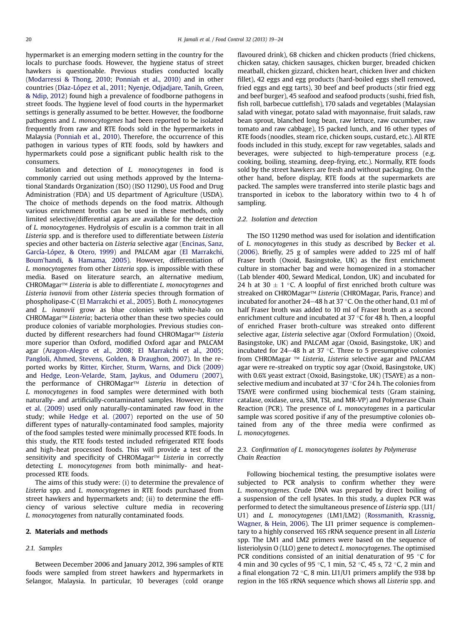hypermarket is an emerging modern setting in the country for the locals to purchase foods. However, the hygiene status of street hawkers is questionable. Previous studies conducted locally ([Modarressi & Thong, 2010;](#page-4-0) [Ponniah et al., 2010](#page-4-0)) and in other countries [\(Díaz-López et al., 2011;](#page-4-0) [Nyenje, Odjadjare, Tanih, Green,](#page-4-0) [& Ndip, 2012](#page-4-0)) found high a prevalence of foodborne pathogens in street foods. The hygiene level of food courts in the hypermarket settings is generally assumed to be better. However, the foodborne pathogens and L. monocytogenes had been reported to be isolated frequently from raw and RTE foods sold in the hypermarkets in Malaysia [\(Ponniah et al., 2010\)](#page-4-0). Therefore, the occurrence of this pathogen in various types of RTE foods, sold by hawkers and hypermarkets could pose a significant public health risk to the consumers.

Isolation and detection of L. monocytogenes in food is commonly carried out using methods approved by the International Standards Organization (ISO) (ISO 11290), US Food and Drug Administration (FDA) and US department of Agriculture (USDA). The choice of methods depends on the food matrix. Although various enrichment broths can be used in these methods, only limited selective/differential agars are available for the detection of L. monocytogenes. Hydrolysis of esculin is a common trait in all Listeria spp. and is therefore used to differentiate between Listeria species and other bacteria on Listeria selective agar [\(Encinas, Sanz,](#page-4-0) [García-López, & Otero, 1999\)](#page-4-0) and PALCAM agar ([El Marrakchi,](#page-4-0) Boum'[handi, & Hamama, 2005](#page-4-0)). However, differentiation of L. monocytogenes from other Listeria spp. is impossible with these media. Based on literature search, an alternative medium, CHROMagar $T^M$  Listeria is able to differentiate L. monocytogenes and Listeria ivanovii from other Listeria species through formation of phospholipase-C [\(El Marrakchi et al., 2005\)](#page-4-0). Both L. monocytogenes and L. ivanovii grow as blue colonies with white-halo on CHROMagar<sup>TM</sup> Listeria; bacteria other than these two species could produce colonies of variable morphologies. Previous studies conducted by different researchers had found CHROMagar™ Listeria more superior than Oxford, modified Oxford agar and PALCAM agar ([Aragon-Alegro et al., 2008;](#page-4-0) [El Marrakchi et al., 2005](#page-4-0); [Pangloli, Ahmed, Stevens, Golden, & Draughon, 2007](#page-4-0)). In the reported works by [Ritter, Kircher, Sturm, Warns, and Dick \(2009\)](#page-4-0) and [Hedge, Leon-Velarde, Stam, Jaykus, and Odumeru \(2007\),](#page-4-0) the performance of CHROMagar<sup>TM</sup> Listeria in detection of L. monocytogenes in food samples were determined with both naturally- and artificially-contaminated samples. However, [Ritter](#page-4-0) [et al. \(2009\)](#page-4-0) used only naturally-contaminated raw food in the study; while [Hedge et al. \(2007\)](#page-4-0) reported on the use of 50 different types of naturally-contaminated food samples, majority of the food samples tested were minimally processed RTE foods. In this study, the RTE foods tested included refrigerated RTE foods and high-heat processed foods. This will provide a test of the sensitivity and specificity of CHROMagar<sup>™</sup> Listeria in correctly detecting L. monocytogenes from both minimally- and heatprocessed RTE foods.

The aims of this study were: (i) to determine the prevalence of Listeria spp. and L. monocytogenes in RTE foods purchased from street hawkers and hypermarkets and; (ii) to determine the efficiency of various selective culture media in recovering L. monocytogenes from naturally contaminated foods.

#### 2. Materials and methods

## 2.1. Samples

Between December 2006 and January 2012, 396 samples of RTE foods were sampled from street hawkers and hypermarkets in Selangor, Malaysia. In particular, 10 beverages (cold orange flavoured drink), 68 chicken and chicken products (fried chickens, chicken satay, chicken sausages, chicken burger, breaded chicken meatball, chicken gizzard, chicken heart, chicken liver and chicken fillet), 42 eggs and egg products (hard-boiled eggs shell removed, fried eggs and egg tarts), 30 beef and beef products (stir fried egg and beef burger), 45 seafood and seafood products (sushi, fried fish, fish roll, barbecue cuttlefish), 170 salads and vegetables (Malaysian salad with vinegar, potato salad with mayonnaise, fruit salads, raw bean sprout, blanched long bean, raw lettuce, raw cucumber, raw tomato and raw cabbage), 15 packed lunch, and 16 other types of RTE foods (noodles, steam rice, chicken soups, custard, etc.). All RTE foods included in this study, except for raw vegetables, salads and beverages, were subjected to high-temperature process (e.g. cooking, boiling, steaming, deep-frying, etc.). Normally, RTE foods sold by the street hawkers are fresh and without packaging. On the other hand, before display, RTE foods at the supermarkets are packed. The samples were transferred into sterile plastic bags and transported in icebox to the laboratory within two to 4 h of sampling.

## 2.2. Isolation and detection

The ISO 11290 method was used for isolation and identification of L. monocytogenes in this study as described by [Becker et al.](#page-4-0) [\(2006\)](#page-4-0). Briefly, 25 g of samples were added to 225 ml of half Fraser broth (Oxoid, Basingstoke, UK) as the first enrichment culture in stomacher bag and were homogenized in a stomacher (Lab blender 400, Seward Medical, London, UK) and incubated for 24 h at 30  $\pm$  1 °C. A loopful of first enriched broth culture was streaked on CHROMagar™ Listeria (CHROMagar, Paris, France) and incubated for another 24-48 h at 37  $\degree$ C. On the other hand, 0.1 ml of half Fraser broth was added to 10 ml of Fraser broth as a second enrichment culture and incubated at 37  $\degree$ C for 48 h. Then, a loopful of enriched Fraser broth-culture was streaked onto different selective agar, Listeria selective agar (Oxford Formulation) (Oxoid, Basingstoke, UK) and PALCAM agar (Oxoid, Basingstoke, UK) and incubated for  $24-48$  h at 37 °C. Three to 5 presumptive colonies from CHROMagar ™ Listeria, Listeria selective agar and PALCAM agar were re-streaked on tryptic soy agar (Oxoid, Basingstoke, UK) with 0.6% yeast extract (Oxoid, Basingstoke, UK) (TSAYE) as a nonselective medium and incubated at 37  $\degree$ C for 24 h. The colonies from TSAYE were confirmed using biochemical tests (Gram staining, catalase, oxidase, urea, SIM, TSI, and MR-VP) and Polymerase Chain Reaction (PCR). The presence of L. monocytogenes in a particular sample was scored positive if any of the presumptive colonies obtained from any of the three media were confirmed as L. monocytogenes.

## 2.3. Confirmation of L. monocytogenes isolates by Polymerase Chain Reaction

Following biochemical testing, the presumptive isolates were subjected to PCR analysis to confirm whether they were L. monocytogenes. Crude DNA was prepared by direct boiling of a suspension of the cell lysates. In this study, a duplex PCR was performed to detect the simultaneous presence of Listeria spp. (LI1/ U1) and L. monocytogenes (LM1/LM2) ([Rossmanith, Krassnig,](#page-5-0) [Wagner, & Hein, 2006\)](#page-5-0). The LI1 primer sequence is complementary to a highly conserved 16S rRNA sequence present in all Listeria spp. The LM1 and LM2 primers were based on the sequence of listeriolysin O (LLO) gene to detect L. monocytogenes. The optimised PCR conditions consisted of an initial denaturation of 95 $\degree$ C for 4 min and 30 cycles of 95 °C, 1 min, 52 °C, 45 s, 72 °C, 2 min and a final elongation 72 °C, 8 min. LI1/U1 primers amplify the 938 bp region in the 16S rRNA sequence which shows all Listeria spp. and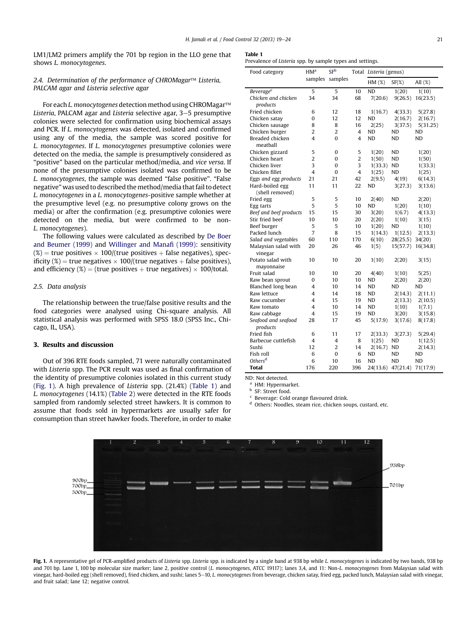<span id="page-2-0"></span>LM1/LM2 primers amplify the 701 bp region in the LLO gene that shows L. monocytogenes.

## 2.4. Determination of the performance of CHROMagar $T^M$  Listeria, PALCAM agar and Listeria selective agar

For each L. monocytogenes detection method using CHROMagar™ Listeria, PALCAM agar and Listeria selective agar, 3-5 presumptive colonies were selected for confirmation using biochemical assays and PCR. If L. monocytogenes was detected, isolated and confirmed using any of the media, the sample was scored positive for L. monocytogenes. If L. monocytogenes presumptive colonies were detected on the media, the sample is presumptively considered as "positive" based on the particular method/media, and vice versa. If none of the presumptive colonies isolated was confirmed to be L. monocytogenes, the sample was deemed "false positive". "False negative" was used to described the method/media that fail to detect L. monocytogenes in a L. monocytogenes-positive sample whether at the presumptive level (e.g. no presumptive colony grows on the media) or after the confirmation (e.g. presumptive colonies were detected on the media, but were confirmed to be non-L. monocytogenes).

The following values were calculated as described by [De Boer](#page-4-0) [and Beumer \(1999\)](#page-4-0) and [Willinger and Mana](#page-5-0)fi (1999): sensitivity  $(\%)$  = true positives  $\times$  100/(true positives + false negatives), specificity (%) = true negatives  $\times$  100/(true negatives + false positives), and efficiency (%) = (true positives + true negatives)  $\times$  100/total.

## 2.5. Data analysis

The relationship between the true/false positive results and the food categories were analysed using Chi-square analysis. All statistical analysis was performed with SPSS 18.0 (SPSS Inc., Chicago, IL, USA).

#### 3. Results and discussion

Out of 396 RTE foods sampled, 71 were naturally contaminated with Listeria spp. The PCR result was used as final confirmation of the identity of presumptive colonies isolated in this current study (Fig. 1). A high prevalence of Listeria spp. (21.4%) (Table 1) and L. monocytogenes (14.1%) [\(Table 2\)](#page-3-0) were detected in the RTE foods sampled from randomly selected street hawkers. It is common to assume that foods sold in hypermarkets are usually safer for consumption than street hawker foods. Therefore, in order to make

| . .<br>$-1$<br>$\sim$ |  |
|-----------------------|--|
|-----------------------|--|

Prevalence of Listeria spp. by sample types and settings.

| Food category                      | HM <sup>a</sup>     | SF <sup>b</sup> |                | Total Listeria (genus) |           |            |
|------------------------------------|---------------------|-----------------|----------------|------------------------|-----------|------------|
|                                    | samples             | samples         |                | $HM (\%)$              | $SF(\%)$  | All $(\%)$ |
| Beverage <sup>c</sup>              | 5                   | 5               | 10             | <b>ND</b>              | 1(20)     | 1(10)      |
| Chicken and chicken                | 34                  | 34              | 68             | 7(20.6)                | 9(26.5)   | 16(23.5)   |
| products                           |                     |                 |                |                        |           |            |
| Fried chicken                      | 6                   | 12              | 18             | 1(16.7)                | 4(33.3)   | 5(27.8)    |
| Chicken satay                      | 0                   | 12              | 12             | <b>ND</b>              | 2(16.7)   | 2(16.7)    |
| Chicken sausage                    | 8                   | 8               | 16             | 2(25)                  | 3(37.5)   | 5(31.25)   |
| Chicken burger                     | $\overline{2}$      | $\overline{2}$  | $\overline{4}$ | ND                     | ND        | <b>ND</b>  |
| Breaded chicken                    | 4                   | 0               | 4              | <b>ND</b>              | ND        | <b>ND</b>  |
| meatball                           |                     |                 |                |                        |           |            |
| Chicken gizzard                    | 5<br>$\overline{2}$ | 0               | 5              | 1(20)                  | ND        | 1(20)      |
| Chicken heart                      |                     | 0               | $\overline{2}$ | 1(50)                  | <b>ND</b> | 1(50)      |
| Chicken liver                      | 3                   | 0               | 3              | 1(33.3)                | <b>ND</b> | 1(33.3)    |
| Chicken fillet                     | 4                   | 0               | $\overline{4}$ | 1(25)                  | ND        | 1(25)      |
| Eggs and egg products              | 21                  | 21              | 42             | 2(9.5)                 | 4(19)     | 6(14.3)    |
| Hard-boiled egg<br>(shell removed) | 11                  | 11              | 22             | ND                     | 3(27.3)   | 3(13.6)    |
| Fried egg                          | 5                   | 5               | 10             | 2(40)                  | <b>ND</b> | 2(20)      |
| Egg tarts                          | 5                   | 5               | 10             | <b>ND</b>              | 1(20)     | 1(10)      |
| Beef and beef products             | 15                  | 15              | 30             | 3(20)                  | 1(6.7)    | 4(13.3)    |
| Stir fried beef                    | 10                  | 10              | 20             | 2(20)                  | 1(10)     | 3(15)      |
| Beef burger                        | 5                   | 5               | 10             | 1(20)                  | ND        | 1(10)      |
| Packed lunch                       | $\overline{7}$      | 8               | 15             | 1(14.3)                | 1(12.5)   | 2(13.3)    |
| Salad and vegetables               | 60                  | 110             | 170            | 6(10)                  | 28(25.5)  | 34(20)     |
| Malaysian salad with               | 20                  | 26              | 46             | 1(5)                   | 15(57.7)  | 16(34.8)   |
| vinegar                            |                     |                 |                |                        |           |            |
| Potato salad with                  | 10                  | 10              | 20             | 1(10)                  | 2(20)     | 3(15)      |
| mayonnaise                         |                     |                 |                |                        |           |            |
| Fruit salad                        | 10                  | 10              | 20             | 4(40)                  | 1(10)     | 5(25)      |
| Raw bean sprout                    | 0                   | 10              | 10             | <b>ND</b>              | 2(20)     | 2(20)      |
| Blanched long bean                 | 4                   | 10              | 14             | ND                     | ND        | ND         |
| Raw lettuce                        | 4                   | 14              | 18             | ND                     | 2(14.3)   | 2(11.1)    |
| Raw cucumber                       | 4                   | 15              | 19             | ND                     | 2(13.3)   | 2(10.5)    |
| Raw tomato                         | 4                   | 10              | 14             | <b>ND</b>              | 1(10)     | 1(7.1)     |
| Raw cabbage                        | 4                   | 15              | 19             | ND                     | 3(20)     | 3(15.8)    |
| Seafood and seafood                | 28                  | 17              | 45             | 5(17.9)                | 3(17.6)   | 8(17.8)    |
| products                           |                     |                 |                |                        |           |            |
| Fried fish                         | 6                   | 11              | 17             | 2(33.3)                | 3(27.3)   | 5(29.4)    |
| Barbecue cuttlefish                | 4                   | 4               | 8              | 1(25)                  | ND        | 1(12.5)    |
| Sushi                              | 12                  | 2               | 14             | 2(16.7)                | ND        | 2(14.3)    |
| Fish roll                          | 6                   | 0               | 6              | ND                     | <b>ND</b> | ND         |
| Others <sup>d</sup>                | 6                   | 10              | 16             | <b>ND</b>              | <b>ND</b> | <b>ND</b>  |
| <b>Total</b>                       | 176                 | 220             | 396            | 24(13.6)               | 47(21.4)  | 71(17.9)   |

ND: Not detected.

<sup>a</sup> HM: Hypermarket.

<sup>b</sup> SF: Street food.

Beverage: Cold orange flavoured drink.

<sup>d</sup> Others: Noodles, steam rice, chicken soups, custard, etc.



Fig. 1. A representative gel of PCR-amplified products of Listeria spp. Listeria spp. is indicated by a single band at 938 bp while L. monocytogenes is indicated by two bands, 938 bp and 701 bp. Lane 1, 100 bp molecular size marker; lane 2, positive control (L. monocytogenes, ATCC 19117); lanes 3,4, and 11: Non-L. monocytogenes from Malaysian salad with vinegar, hard-boiled egg (shell removed), fried chicken, and sushi; lanes 5-10, L. monocytogenes from beverage, chicken satay, fried egg, packed lunch, Malaysian salad with vinegar, and fruit salad; lane 12; negative control.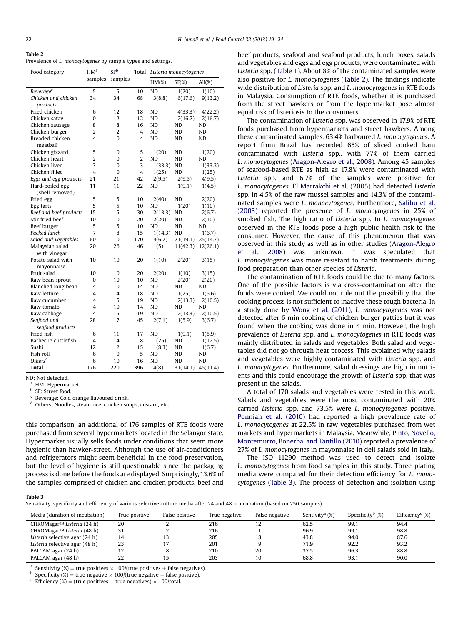### <span id="page-3-0"></span>Table 2

Prevalence of *L. monocytogenes* by sample types and settings.

| Food category                   | HM <sup>a</sup> | SF <sup>b</sup> | Total          | Listeria monocytogenes |           |           |
|---------------------------------|-----------------|-----------------|----------------|------------------------|-----------|-----------|
|                                 | samples         | samples         |                | $HM(\%)$               | $SF(\%)$  | $All(\%)$ |
| Beverage <sup>c</sup>           | 5               | 5               | 10             | <b>ND</b>              | 1(20)     | 1(10)     |
| Chicken and chicken             | 34              | 34              | 68             | 3(8.8)                 | 6(17.6)   | 9(13.2)   |
| products                        |                 |                 |                |                        |           |           |
| Fried chicken                   | 6               | 12              | 18             | <b>ND</b>              | 4(33.3)   | 4(22.2)   |
| Chicken satay                   | 0               | 12              | 12             | ND                     | 2(16.7)   | 2(16.7)   |
| Chicken sausage                 | 8               | 8               | 16             | <b>ND</b>              | ND        | <b>ND</b> |
| Chicken burger                  | $\overline{c}$  | $\overline{2}$  | 4              | ND                     | ND        | <b>ND</b> |
| Breaded chicken<br>meatball     | 4               | $\Omega$        | 4              | <b>ND</b>              | ND        | <b>ND</b> |
| Chicken gizzard                 | 5               | 0               | 5              | 1(20)                  | ND        | 1(20)     |
| Chicken heart                   | $\overline{2}$  | 0               | $\overline{2}$ | <b>ND</b>              | ND        | <b>ND</b> |
| Chicken liver                   | 3               | 0               | 3              | 1(33.3)                | ND        | 1(33.3)   |
| Chicken fillet                  | $\overline{4}$  | 0               | 4              | 1(25)                  | ND        | 1(25)     |
| Eggs and egg products           | 21              | 21              | 42             | 2(9.5)                 | 2(9.5)    | 4(9.5)    |
| Hard-boiled egg                 | 11              | 11              | 22             | ND                     | 1(9.1)    | 1(4.5)    |
| (shell removed)                 |                 |                 |                |                        |           |           |
| Fried egg                       | 5               | 5               | 10             | 2(40)                  | ND        | 2(20)     |
| Egg tarts                       | 5               | 5               | 10             | <b>ND</b>              | 1(20)     | 1(10)     |
| Beef and beef products          | 15              | 15              | 30             | 2(13.3)                | ND        | 2(6.7)    |
| Stir fried beef                 | 10              | 10              | 20             | 2(20)                  | ND        | 2(10)     |
| Beef burger                     | 5               | 5               | 10             | <b>ND</b>              | ND        | <b>ND</b> |
| Packed lunch                    | $\overline{7}$  | 8               | 15             | 1(14.3)                | <b>ND</b> | 1(6.7)    |
| Salad and vegetables            | 60              | 110             | 170            | 4(6.7)                 | 21(19.1)  | 25(14.7)  |
| Malaysian salad<br>with vinegar | 20              | 26              | 46             | 1(5)                   | 11(42.3)  | 12(26.1)  |
| Potato salad with               | 10              | 10              | 20             | 1(10)                  | 2(20)     | 3(15)     |
| mayonnaise                      |                 |                 |                |                        |           |           |
| Fruit salad                     | 10              | 10              | 20             | 2(20)                  | 1(10)     | 3(15)     |
| Raw bean sprout                 | 0               | 10              | 10             | <b>ND</b>              | 2(20)     | 2(20)     |
| Blanched long bean              | $\overline{4}$  | 10              | 14             | ND                     | ND        | ND        |
| Raw lettuce                     | 4               | 14              | 18             | <b>ND</b>              | 1(25)     | 1(5.6)    |
| Raw cucumber                    | 4               | 15              | 19             | ND                     | 2(13.3)   | 2(10.5)   |
| Raw tomato                      | $\overline{4}$  | 10              | 14             | ND                     | <b>ND</b> | ND        |
| Raw cabbage                     | $\overline{4}$  | 15              | 19             | <b>ND</b>              | 2(13.3)   | 2(10.5)   |
| Seafood and                     | 28              | 17              | 45             | 2(7.1)                 | 1(5.9)    | 3(6.7)    |
| seafood products                |                 |                 |                |                        |           |           |
| Fried fish                      | 6               | 11              | 17             | <b>ND</b>              | 1(9.1)    | 1(5.9)    |
| Barbecue cuttlefish             | 4               | 4               | 8              | 1(25)                  | ND        | 1(12.5)   |
| Sushi                           | 12              | $\overline{2}$  | 15             | 1(8.3)                 | ND        | 1(6.7)    |
| Fish roll                       | 6               | $\mathbf 0$     | 5              | <b>ND</b>              | ND        | <b>ND</b> |
| Others <sup>d</sup>             | 6               | 10              | 16             | ND                     | ND        | <b>ND</b> |
| <b>Total</b>                    | 176             | 220             | 396            | 14(8)                  | 31(14.1)  | 45(11.4)  |

ND: Not detected.

<sup>a</sup> HM: Hypermarket.

<sup>b</sup> SF: Street food.

Beverage: Cold orange flavoured drink.

<sup>d</sup> Others: Noodles, steam rice, chicken soups, custard, etc.

this comparison, an additional of 176 samples of RTE foods were purchased from several hypermarkets located in the Selangor state. Hypermarket usually sells foods under conditions that seem more hygienic than hawker-street. Although the use of air-conditioners and refrigerators might seem beneficial in the food preservation, but the level of hygiene is still questionable since the packaging process is done before the foods are displayed. Surprisingly, 13.6% of the samples comprised of chicken and chicken products, beef and beef products, seafood and seafood products, lunch boxes, salads and vegetables and eggs and egg products, were contaminated with Listeria spp. [\(Table 1\)](#page-2-0). About 8% of the contaminated samples were also positive for L. monocytogenes (Table 2). The findings indicate wide distribution of Listeria spp. and L. monocytogenes in RTE foods in Malaysia. Consumption of RTE foods, whether it is purchased from the street hawkers or from the hypermarket pose almost equal risk of listeriosis to the consumers.

The contamination of Listeria spp. was observed in 17.9% of RTE foods purchased from hypermarkets and street hawkers. Among these contaminated samples, 63.4% harboured L. monocytogenes. A report from Brazil has recorded 65% of sliced cooked ham contaminated with Listeria spp., with 77% of them carried L. monocytogenes [\(Aragon-Alegro et al., 2008](#page-4-0)). Among 45 samples of seafood-based RTE as high as 17.8% were contaminated with Listeria spp. and 6.7% of the samples were positive for L. monocytogenes. [El Marrakchi et al. \(2005\)](#page-4-0) had detected Listeria spp. in 4.5% of the raw mussel samples and 14.3% of the contaminated samples were L. monocytogenes. Furthermore, [Salihu et al.](#page-5-0) [\(2008\)](#page-5-0) reported the presence of L. monocytogenes in 25% of smoked fish. The high ratio of Listeria spp. to L. monocytogenes observed in the RTE foods pose a high public health risk to the consumer. However, the cause of this phenomenon that was observed in this study as well as in other studies ([Aragon-Alegro](#page-4-0) [et al., 2008](#page-4-0)) was unknown. It was speculated that L. monocytogenes was more resistant to harsh treatments during food preparation than other species of Listeria.

The contamination of RTE foods could be due to many factors. One of the possible factors is via cross-contamination after the foods were cooked. We could not rule out the possibility that the cooking process is not sufficient to inactive these tough bacteria. In a study done by [Wong et al. \(2011\),](#page-5-0) L. monocytogenes was not detected after 6 min cooking of chicken burger patties but it was found when the cooking was done in 4 min. However, the high prevalence of Listeria spp. and L. monocytogenes in RTE foods was mainly distributed in salads and vegetables. Both salad and vegetables did not go through heat process. This explained why salads and vegetables were highly contaminated with Listeria spp. and L. monocytogenes. Furthermore, salad dressings are high in nutrients and this could encourage the growth of Listeria spp. that was present in the salads.

A total of 170 salads and vegetables were tested in this work. Salads and vegetables were the most contaminated with 20% carried Listeria spp. and 73.5% were L. monocytogenes positive. [Ponniah et al. \(2010\)](#page-4-0) had reported a high prevalence rate of L. monocytogenes at 22.5% in raw vegetables purchased from wet markets and hypermarkets in Malaysia. Meanwhile, [Pinto, Novello,](#page-4-0) [Montemurro, Bonerba, and Tantillo \(2010\)](#page-4-0) reported a prevalence of 27% of L. monocytogenes in mayonnaise in deli salads sold in Italy.

The ISO 11290 method was used to detect and isolate L. monocytogenes from food samples in this study. Three plating media were compared for their detection efficiency for L. monocytogenes (Table 3). The process of detection and isolation using

## Table 3

Sensitivity, specificity and efficiency of various selective culture media after 24 and 48 h incubation (based on 250 samples).

| Media (duration of incubation) | True positive | False positive | True negative | False negative | Sentivity <sup>a</sup> $(\%)$ | Specificity <sup>b</sup> $(\%)$ | Efficiency <sup>c</sup> $(\%)$ |
|--------------------------------|---------------|----------------|---------------|----------------|-------------------------------|---------------------------------|--------------------------------|
| CHROMagar™ Listeria (24 h)     | 20            |                | 216           | 12             | 62.5                          | 99.1                            | 94.4                           |
| CHROMagar™ Listeria (48 h)     | 31            |                | 216           |                | 96.9                          | 99.1                            | 98.8                           |
| Listeria selective agar (24 h) | 14            | 13             | 205           | 18             | 43.8                          | 94.0                            | 87.6                           |
| Listeria selective agar (48 h) | 23            |                | 201           | 9              | 71.9                          | 92.2                            | 93.2                           |
| PALCAM agar (24 h)             | 12            |                | 210           | 20             | 37.5                          | 96.3                            | 88.8                           |
| PALCAM agar (48 h)             | 22            |                | 203           | 10             | 68.8                          | 93.1                            | 90.0                           |

<sup>a</sup> Sensitivity (%) = true positives  $\times$  100/(true positives + false negatives). b Specificity (%) = true negative  $\times$  100/(true negatives + false positive). c Efficiency (%) = (true positives + true negatives)  $\times$  100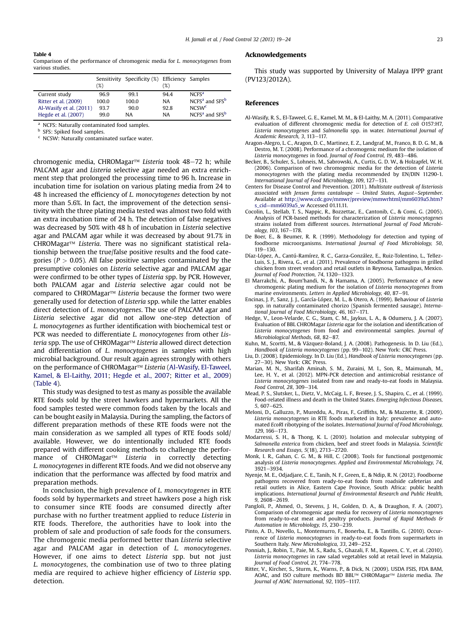## <span id="page-4-0"></span>Table 4

Comparison of the performance of chromogenic media for L. monocytogenes from various studies.

|                         | (%)   | Sensitivity Specificity (%) Efficiency Samples | (%)       |                                        |
|-------------------------|-------|------------------------------------------------|-----------|----------------------------------------|
| Current study           | 96.9  | 99.1                                           | 944       | NCFS <sup>a</sup>                      |
| Ritter et al. (2009)    | 100.0 | 100.0                                          | <b>NA</b> | NCFS <sup>a</sup> and SFS <sup>b</sup> |
| Al-Wasify et al. (2011) | 93.7  | 90.0                                           | 92.8      | NCSW <sup>c</sup>                      |
| Hegde et al. (2007)     | 99.0  | <b>NA</b>                                      | <b>NA</b> | NCFS <sup>a</sup> and SFS <sup>b</sup> |

<sup>a</sup> NCFS: Naturally contaminated food samples.<br> $\frac{b}{b}$  SES: Spiked food samples.

SFS: Spiked food samples.

<sup>c</sup> NCSW: Naturally contaminated surface water.

chromogenic media, CHROMagar<sup>TM</sup> Listeria took  $48-72$  h; while PALCAM agar and Listeria selective agar needed an extra enrichment step that prolonged the processing time to 96 h. Increase in incubation time for isolation on various plating media from 24 to 48 h increased the efficiency of L. monocytogenes detection by not more than 5.6%. In fact, the improvement of the detection sensitivity with the three plating media tested was almost two fold with an extra incubation time of 24 h. The detection of false negatives was decreased by 50% with 48 h of incubation in Listeria selective agar and PALCAM agar while it was decreased by about 91.7% in CHROMagar™ Listeria. There was no significant statistical relationship between the true/false positive results and the food categories ( $P > 0.05$ ). All false positive samples contaminated by the presumptive colonies on Listeria selective agar and PALCAM agar were confirmed to be other types of Listeria spp. by PCR. However, both PALCAM agar and Listeria selective agar could not be compared to CHROMagar<sup>TM</sup> Listeria because the former two were generally used for detection of Listeria spp. while the latter enables direct detection of L. monocytogenes. The use of PALCAM agar and Listeria selective agar did not allow one-step detection of L. monocytogenes as further identification with biochemical test or PCR was needed to differentiate L. monocytogenes from other Listeria spp. The use of CHROMagar<sup> $m$ </sup> Listeria allowed direct detection and differentiation of L. monocytogenes in samples with high microbial background. Our result again agrees strongly with others on the performance of CHROMagar<sup>TM</sup> Listeria (Al-Wasify, El-Taweel, Kamel, & El-Laithy, 2011; Hegde et al., 2007; Ritter et al., 2009) (Table 4).

This study was designed to test as many as possible the available RTE foods sold by the street hawkers and hypermarkets. All the food samples tested were common foods taken by the locals and can be bought easily in Malaysia. During the sampling, the factors of different preparation methods of these RTE foods were not the main consideration as we sampled all types of RTE foods sold/ available. However, we do intentionally included RTE foods prepared with different cooking methods to challenge the performance of CHROMagar<sup>TM</sup> Listeria in correctly detecting L. monocytogenes in different RTE foods. And we did not observe any indication that the performance was affected by food matrix and preparation methods.

In conclusion, the high prevalence of L. monocytogenes in RTE foods sold by hypermarkets and street hawkers pose a high risk to consumer since RTE foods are consumed directly after purchase with no further treatment applied to reduce Listeria in RTE foods. Therefore, the authorities have to look into the problem of sale and production of safe foods for the consumers. The chromogenic media performed better than Listeria selective agar and PALCAM agar in detection of L. monocytogenes. However, if one aims to detect Listeria spp. but not just L. monocytogenes, the combination use of two to three plating media are required to achieve higher efficiency of Listeria spp. detection.

#### Acknowledgements

This study was supported by University of Malaya IPPP grant (PV123/2012A).

#### References

- Al-Wasify, R. S., El-Taweel, G. E., Kamel, M. M., & El-Laithy, M. A. (2011). Comparative evaluation of different chromogenic media for detection of E. coli O157:H7, Listeria monocytogenes and Salmonella spp. in water. International Journal of Academic Research, 3, 113-117.
- Aragon-Alegro, L. C., Aragon, D. C., Martinez, E. Z., Landgraf, M., Franco, B. D. G. M., & Destro, M. T. (2008). Performance of a chromogenic medium for the isolation of Listeria monocytogenes in food. Journal of Food Control, 19, 483-486.
- Becker, B., Schuler, S., Lohneis, M., Sabrowski, A., Curtis, G. D. W., & Holzapfel, W. H. (2006). Comparison of two chromogenic media for the detection of Listeria monocytogenes with the plating media recommended by EN/DIN 11290-1. International Journal of Food Microbiology, 109, 127-131.
- Centers for Disease Control and Prevention. (2011). Multistate outbreak of listeriosis associated with Jensen farms cantaloupe  $-$  United States, August-September. Available at [http://www.cdc.gov/mmwr/preview/mmwrhtml/mm6039a5.htm?](http://www.cdc.gov/mmwr/preview/mmwrhtml/mm6039a5.htm%3fs_cid%3dmm6039a5_w) [s\\_cid](http://www.cdc.gov/mmwr/preview/mmwrhtml/mm6039a5.htm%3fs_cid%3dmm6039a5_w)=[mm6039a5\\_w](http://www.cdc.gov/mmwr/preview/mmwrhtml/mm6039a5.htm%3fs_cid%3dmm6039a5_w) Accessed 01.11.11.
- Cocolin, L., Stellab, T. S., Nappic, R., Bozzettac, E., Cantonib, C., & Comi, G. (2005). Analysis of PCR-based methods for characterization of Listeria monocytogenes strains isolated from different sources. International Journal of Food Microbiology, 103, 167-178.
- De Boer, E., & Beumer, R. R. (1999). Methodology for detection and typing of foodborne microorganisms. International Journal of Food Microbiology, 50,  $119 - 130.$
- Díaz-López, A., Cantú-Ramírez, R. C., Garza-González, E., Ruiz-Tolentino, L., Tellez-Luis, S. J., Rivera, G., et al. (2011). Prevalence of foodborne pathogens in grilled chicken from street vendors and retail outlets in Reynosa, Tamaulipas, Mexico. Journal of Food Protection, 74, 1320-1323.
- El Marrakchi, A., Boum'handi, N., & Hamama, A. (2005). Performance of a new chromogenic plating medium for the isolation of Listeria monocytogenes from marine environments. Letters in Applied Microbiology, 40, 87-91.
- Encinas, J. P., Sanz, J. J., García-López, M. L., & Otero, A. (1999). Behaviour of Listeria spp. in naturally contaminated chorizo (Spanish fermented sausage). International Journal of Food Microbiology,  $46, 167-171.$
- Hedge, V., Leon-Velarde, C. G., Stam, C. M., Jaykus, L. A., & Odumeru, J. A. (2007). Evaluation of BBL CHROMagar Listeria agar for the isolation and identification of Listeria monocytogenes from food and environmental samples. Journal of Microbiological Methods, 68, 82-87.
- Kuhn, M., Scortti, M., & Vázquez-Boland, J. A. (2008). Pathogenesis. In D. Liu (Ed.),
- Handbook of Listeria monocytogenes (pp. 99–102). New York: CRC Press.<br>Liu, D. (2008). Epidemiology. In D. Liu (Ed.), Handbook of Listeria monocytogenes (pp. 27-30). New York: CRC Press.
- Marian, M. N., Sharifah Aminah, S. M., Zuraini, M. I., Son, R., Maimunah, M., Lee, H. Y., et al. (2012). MPN-PCR detection and antimicrobial resistance of Listeria monocytogenes isolated from raw and ready-to-eat foods in Malaysia. Food Control, 28, 309-314.
- Mead, P. S., Slutsker, L., Dietz, V., McCaig, L. F., Bresee, J. S., Shapiro, C., et al. (1999). Food-related illness and death in the United States. Emerging Infectious Diseases,  $5, 607 - 625$
- Meloni, D., Galluzzo, P., Mureddu, A., Piras, F., Griffiths, M., & Mazzette, R. (2009). Listeria monocytogenes in RTE foods marketed in Italy: prevalence and automated EcoRI ribotyping of the isolates. International Journal of Food Microbiology, 129, 166-173.
- Modarressi, S. H., & Thong, K. L. (2010). Isolation and molecular subtyping of Salmonella enterica from chicken, beef and street foods in Malaysia. Scientific Research and Essays, 5(18), 2713-2720.
- Monk, I. R., Gahan, C. G. M., & Hill, C. (2008). Tools for functional postgenomic analysis of Listeria monocytogenes. Applied and Environmental Microbiology, 74, 3921-3934
- Nyenje, M. E., Odjadjare, C. E., Tanih, N. F., Green, E., & Ndip, R. N. (2012). Foodborne pathogens recovered from ready-to-eat foods from roadside cafeterias and retail outlets in Alice, Eastern Cape Province, South Africa: public health implications. International Journal of Environmental Research and Public Health,  $9, 2608 - 2619$
- Pangloli, P., Ahmed, O., Stevens, J. H., Golden, D. A., & Draughon, F. A. (2007). Comparison of chromogenic agar media for recovery of Listeria monocytogenes from ready-to-eat meat and poultry products. Journal of Rapid Methods & Automation in Microbiology, 15, 230-239.
- Pinto, A. D., Novello, L., Montemurro, F., Bonerba, E., & Tantillo, G. (2010). Occurrence of Listeria monocytogenes in ready-to-eat foods from supermarkets in Southern Italy. New Microbiologica, 33, 249-252.
- Ponniah, J., Robin, T., Paie, M. S., Radu, S., Ghazali, F. M., Kqueen, C. Y., et al. (2010). Listeria monocytogenes in raw salad vegetables sold at retail level in Malaysia. Journal of Food Control, 21, 774-778.
- Ritter, V., Kircher, S., Sturm, K., Warns, P., & Dick, N. (2009). USDA FSIS, FDA BAM, AOAC, and ISO culture methods BD BBL™ CHROMagar™ Listeria media. The Journal of AOAC International, 92, 1105-1117.